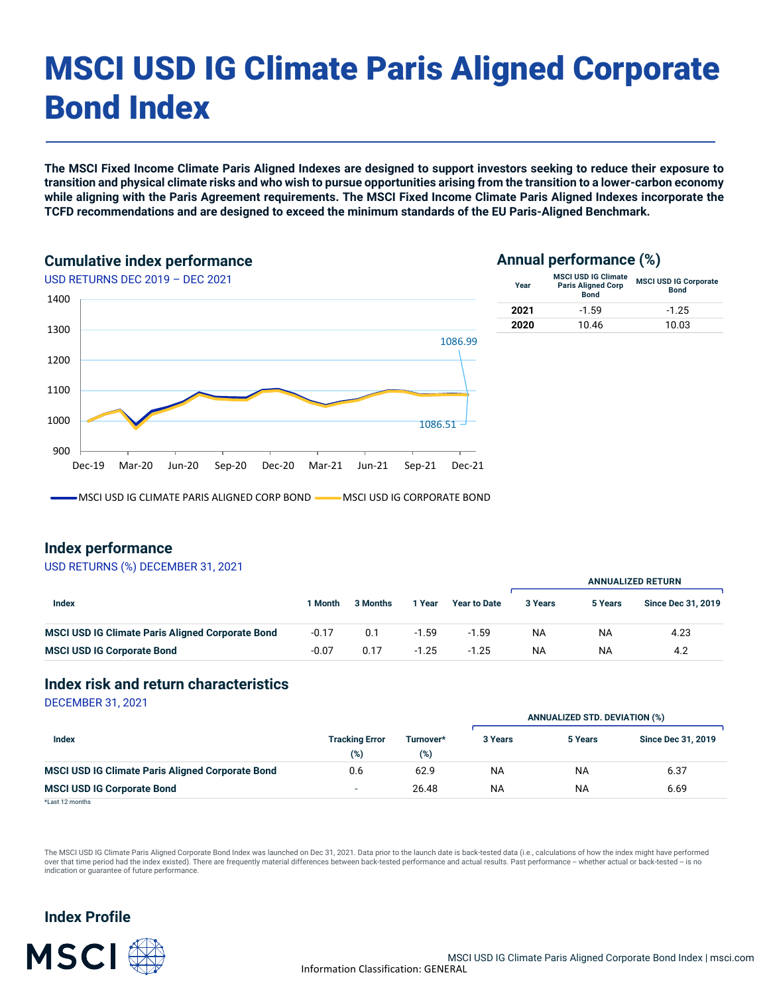# MSCI USD IG Climate Paris Aligned Corporate Bond Index

**The MSCI Fixed Income Climate Paris Aligned Indexes are designed to support investors seeking to reduce their exposure to transition and physical climate risks and who wish to pursue opportunities arising from the transition to a lower-carbon economy while aligning with the Paris Agreement requirements. The MSCI Fixed Income Climate Paris Aligned Indexes incorporate the TCFD recommendations and are designed to exceed the minimum standards of the EU Paris-Aligned Benchmark.**

#### **Cumulative index performance**



# **Annual performance (%)**

| Year | <b>MSCI USD IG Climate</b><br><b>Paris Aligned Corp</b><br><b>Bond</b> | <b>MSCI USD IG Corporate</b><br><b>Bond</b> |
|------|------------------------------------------------------------------------|---------------------------------------------|
| 2021 | $-1.59$                                                                | $-1.25$                                     |
| 2020 | 10.46                                                                  | 10.03                                       |

MSCI USD IG CLIMATE PARIS ALIGNED CORP BOND **WARE MADE IG A LIGHT CORPORATE BOND** 

### **Index performance**

#### USD RETURNS (%) DECEMBER 31, 2021

|                                                         |         |          |         |                     | <b>ANNUALIZED RETURN</b> |           |                           |  |
|---------------------------------------------------------|---------|----------|---------|---------------------|--------------------------|-----------|---------------------------|--|
| Index                                                   | 1 Month | 3 Months | 1 Year  | <b>Year to Date</b> | 3 Years                  | 5 Years   | <b>Since Dec 31, 2019</b> |  |
| <b>MSCI USD IG Climate Paris Aligned Corporate Bond</b> | $-0.17$ | 0.1      | $-1.59$ | $-1.59$             | <b>NA</b>                | <b>NA</b> | 4.23                      |  |
| <b>MSCI USD IG Corporate Bond</b>                       | $-0.07$ | 0.17     | $-1.25$ | $-1.25$             | <b>NA</b>                | <b>NA</b> | 4.2                       |  |

#### **Index risk and return characteristics**

DECEMBER 31, 2021

|                                                         |                                 |                  | <b>ANNUALIZED STD. DEVIATION (%)</b> |           |                           |  |
|---------------------------------------------------------|---------------------------------|------------------|--------------------------------------|-----------|---------------------------|--|
| Index                                                   | <b>Tracking Error</b><br>$(\%)$ | Turnover*<br>(%) | 3 Years                              | 5 Years   | <b>Since Dec 31, 2019</b> |  |
| <b>MSCI USD IG Climate Paris Aligned Corporate Bond</b> | 0.6                             | 62.9             | NA                                   | <b>NA</b> | 6.37                      |  |
| <b>MSCI USD IG Corporate Bond</b>                       | $\overline{\phantom{a}}$        | 26.48            | NA                                   | <b>NA</b> | 6.69                      |  |
| $-11 - 120 - 111$                                       |                                 |                  |                                      |           |                           |  |

\*Last 12 months

The MSCI USD IG Climate Paris Aligned Corporate Bond Index was launched on Dec 31, 2021. Data prior to the launch date is back-tested data (i.e., calculations of how the index might have performed over that time period had the index existed). There are frequently material differences between back-tested performance and actual results. Past performance -- whether actual or back-tested -- is no indication or guarantee of future performance.

# **Index Profile**

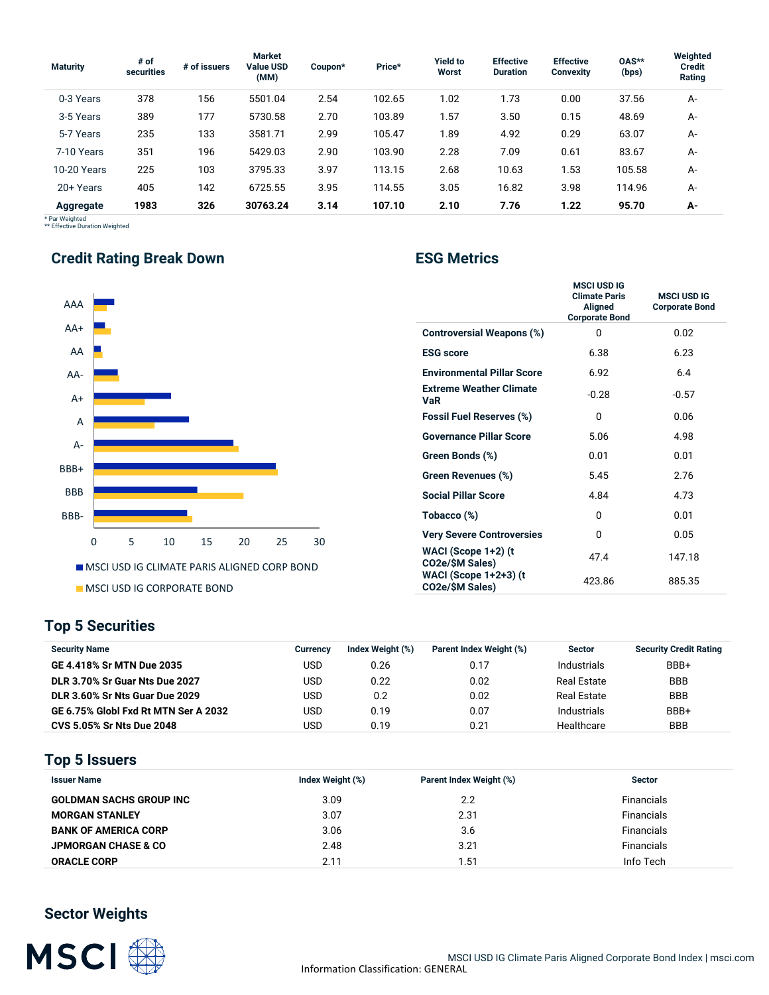| <b>Maturity</b> | # of<br>securities | # of issuers | <b>Market</b><br><b>Value USD</b><br>(MM) | Coupon* | Price* | <b>Yield to</b><br>Worst | <b>Effective</b><br><b>Duration</b> | <b>Effective</b><br><b>Convexity</b> | 0AS**<br>(bps) | Weighted<br><b>Credit</b><br>Rating |
|-----------------|--------------------|--------------|-------------------------------------------|---------|--------|--------------------------|-------------------------------------|--------------------------------------|----------------|-------------------------------------|
| 0-3 Years       | 378                | 156          | 5501.04                                   | 2.54    | 102.65 | 1.02                     | 1.73                                | 0.00                                 | 37.56          | A-                                  |
| 3-5 Years       | 389                | 177          | 5730.58                                   | 2.70    | 103.89 | 1.57                     | 3.50                                | 0.15                                 | 48.69          | А-                                  |
| 5-7 Years       | 235                | 133          | 3581.71                                   | 2.99    | 105.47 | 1.89                     | 4.92                                | 0.29                                 | 63.07          | А-                                  |
| 7-10 Years      | 351                | 196          | 5429.03                                   | 2.90    | 103.90 | 2.28                     | 7.09                                | 0.61                                 | 83.67          | А-                                  |
| 10-20 Years     | 225                | 103          | 3795.33                                   | 3.97    | 113.15 | 2.68                     | 10.63                               | 1.53                                 | 105.58         | А-                                  |
| 20+ Years       | 405                | 142          | 6725.55                                   | 3.95    | 114.55 | 3.05                     | 16.82                               | 3.98                                 | 114.96         | А-                                  |
| Aggregate       | 1983               | 326          | 30763.24                                  | 3.14    | 107.10 | 2.10                     | 7.76                                | 1.22                                 | 95.70          | А-                                  |

\* Par Weighted \*\* Effective Duration Weighted

# **Credit Rating Break Down <b>ESG Metrics**



|                                                 | <b>MSCI USD IG</b><br><b>Climate Paris</b><br>Aligned<br><b>Corporate Bond</b> | <b>MSCI USD IG</b><br><b>Corporate Bond</b> |
|-------------------------------------------------|--------------------------------------------------------------------------------|---------------------------------------------|
| <b>Controversial Weapons (%)</b>                | 0                                                                              | 0.02                                        |
| <b>ESG</b> score                                | 6.38                                                                           | 6.23                                        |
| <b>Environmental Pillar Score</b>               | 6.92                                                                           | 6.4                                         |
| <b>Extreme Weather Climate</b><br>VaR           | $-0.28$                                                                        | $-0.57$                                     |
| <b>Fossil Fuel Reserves (%)</b>                 | 0                                                                              | 0.06                                        |
| <b>Governance Pillar Score</b>                  | 5.06                                                                           | 4.98                                        |
| Green Bonds (%)                                 | 0.01                                                                           | 0.01                                        |
| Green Revenues (%)                              | 5.45                                                                           | 2.76                                        |
| <b>Social Pillar Score</b>                      | 4.84                                                                           | 4.73                                        |
| Tobacco (%)                                     | <sup>0</sup>                                                                   | 0.01                                        |
| <b>Very Severe Controversies</b>                | 0                                                                              | 0.05                                        |
| WACI (Scope 1+2) (t<br>CO2e/\$M Sales)          | 47.4                                                                           | 147.18                                      |
| <b>WACI (Scope 1+2+3) (t</b><br>CO2e/\$M Sales) | 423.86                                                                         | 885.35                                      |

# **Top 5 Securities**

| <b>Security Name</b>                  | Currency | Index Weight (%) | Parent Index Weight (%) | <b>Sector</b> | <b>Security Credit Rating</b> |
|---------------------------------------|----------|------------------|-------------------------|---------------|-------------------------------|
| GE 4.418% Sr MTN Due 2035             | USD      | 0.26             | 0.17                    | Industrials   | BBB+                          |
| <b>DLR 3.70% Sr Guar Nts Due 2027</b> | USD      | 0.22             | 0.02                    | Real Estate   | <b>BBB</b>                    |
| DLR 3.60% Sr Nts Guar Due 2029        | USD      | 0.2              | 0.02                    | Real Estate   | <b>BBB</b>                    |
| GE 6.75% Globl Fxd Rt MTN Ser A 2032  | USD      | 0.19             | 0.07                    | Industrials   | BBB+                          |
| <b>CVS 5.05% Sr Nts Due 2048</b>      | USD      | 0.19             | 0.21                    | Healthcare    | <b>BBB</b>                    |

# **Top 5 Issuers**

| <b>Issuer Name</b>             | Index Weight (%) | Parent Index Weight (%) | <b>Sector</b>     |
|--------------------------------|------------------|-------------------------|-------------------|
| <b>GOLDMAN SACHS GROUP INC</b> | 3.09             | 2.2                     | <b>Financials</b> |
| <b>MORGAN STANLEY</b>          | 3.07             | 2.31                    | <b>Financials</b> |
| <b>BANK OF AMERICA CORP</b>    | 3.06             | 3.6                     | <b>Financials</b> |
| <b>JPMORGAN CHASE &amp; CO</b> | 2.48             | 3.21                    | <b>Financials</b> |
| <b>ORACLE CORP</b>             | 2.11             | 1.51                    | Info Tech         |

# **Sector Weights**